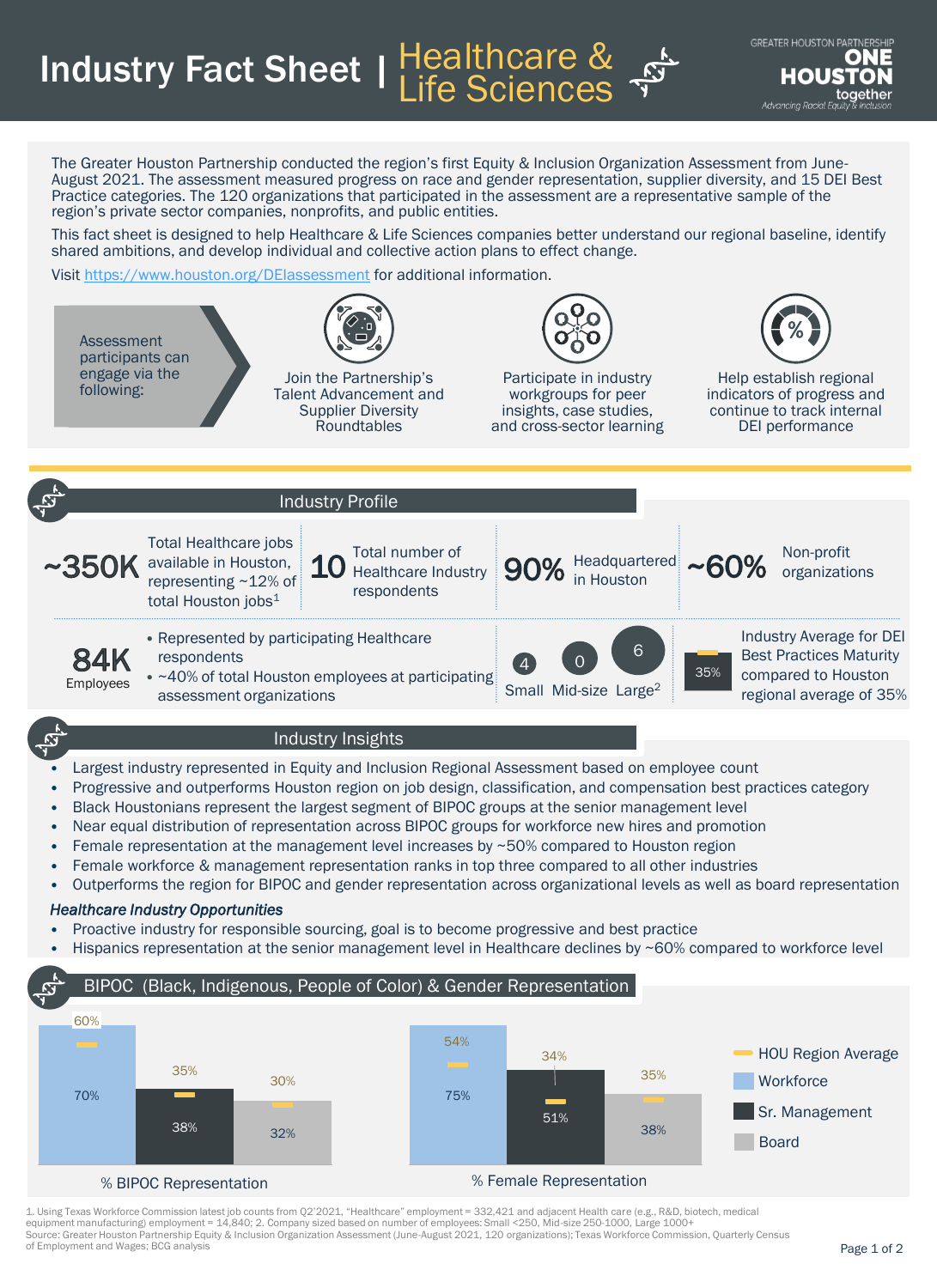Industry Fact Sheet | Healthcare & Life Sciences

The Greater Houston Partnership conducted the region's first Equity & Inclusion Organization Assessment from June-August 2021. The assessment measured progress on race and gender representation, supplier diversity, and 15 DEI Best Practice categories. The 120 organizations that participated in the assessment are a representative sample of the region's private sector companies, nonprofits, and public entities.

This fact sheet is designed to help Healthcare & Life Sciences companies better understand our regional baseline, identify shared ambitions, and develop individual and collective action plans to effect change.

Visit <https://www.houston.org/DEIassessment> for additional information.



## *Healthcare Industry Opportunities*

- Proactive industry for responsible sourcing, goal is to become progressive and best practice
- Hispanics representation at the senior management level in Healthcare declines by ~60% compared to workforce level



1. Using Texas Workforce Commission latest job counts from Q2'2021, "Healthcare" employment = 332,421 and adjacent Health care (e.g., R&D, biotech, medical equipment manufacturing) employment = 14,840; 2. Company sized based on number of employees: Small <250, Mid-size 250-1000, Large 1000+<br>Source: Greater Houston Partnership Equity & Inclusion Organization Assessment (June-A of Employment and Wages; BCG analysis